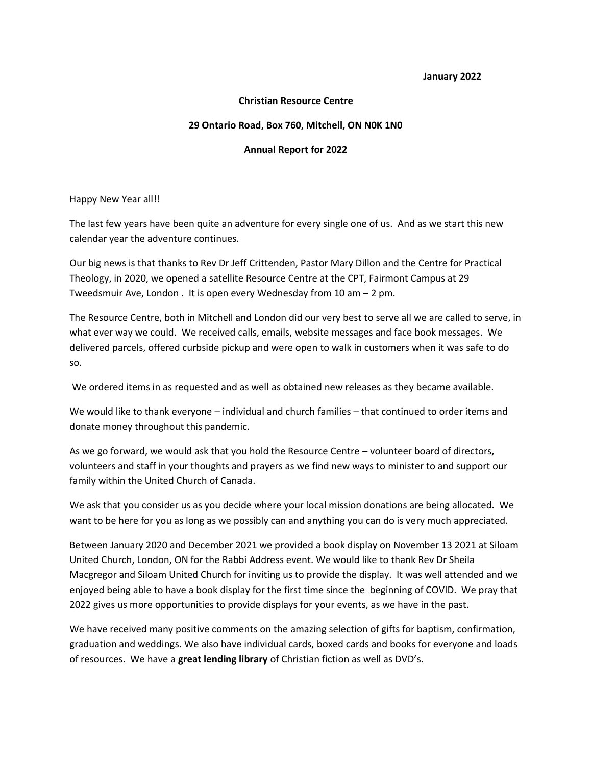**January 2022**

## **Christian Resource Centre**

## **29 Ontario Road, Box 760, Mitchell, ON N0K 1N0**

## **Annual Report for 2022**

Happy New Year all!!

The last few years have been quite an adventure for every single one of us. And as we start this new calendar year the adventure continues.

Our big news is that thanks to Rev Dr Jeff Crittenden, Pastor Mary Dillon and the Centre for Practical Theology, in 2020, we opened a satellite Resource Centre at the CPT, Fairmont Campus at 29 Tweedsmuir Ave, London . It is open every Wednesday from 10 am – 2 pm.

The Resource Centre, both in Mitchell and London did our very best to serve all we are called to serve, in what ever way we could. We received calls, emails, website messages and face book messages. We delivered parcels, offered curbside pickup and were open to walk in customers when it was safe to do so.

We ordered items in as requested and as well as obtained new releases as they became available.

We would like to thank everyone – individual and church families – that continued to order items and donate money throughout this pandemic.

As we go forward, we would ask that you hold the Resource Centre – volunteer board of directors, volunteers and staff in your thoughts and prayers as we find new ways to minister to and support our family within the United Church of Canada.

We ask that you consider us as you decide where your local mission donations are being allocated. We want to be here for you as long as we possibly can and anything you can do is very much appreciated.

Between January 2020 and December 2021 we provided a book display on November 13 2021 at Siloam United Church, London, ON for the Rabbi Address event. We would like to thank Rev Dr Sheila Macgregor and Siloam United Church for inviting us to provide the display. It was well attended and we enjoyed being able to have a book display for the first time since the beginning of COVID. We pray that 2022 gives us more opportunities to provide displays for your events, as we have in the past.

We have received many positive comments on the amazing selection of gifts for baptism, confirmation, graduation and weddings. We also have individual cards, boxed cards and books for everyone and loads of resources. We have a **great lending library** of Christian fiction as well as DVD's.